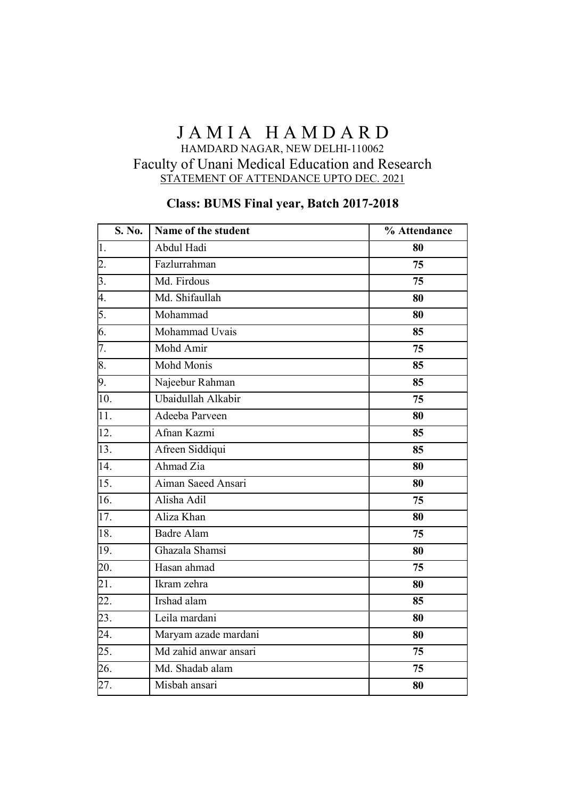### JAMIA HAMDARD HAMDARD NAGAR, NEW DELHI-110062 Faculty of Unani Medical Education and Research STATEMENT OF ATTENDANCE UPTO DEC. 2021

#### Class: BUMS Final year, Batch 2017-2018

| S. No.            | Name of the student   | % Attendance |
|-------------------|-----------------------|--------------|
| 1.                | Abdul Hadi            | 80           |
| 2.                | Fazlurrahman          | 75           |
| 3.                | Md. Firdous           | 75           |
| 4.                | Md. Shifaullah        | 80           |
| 5.                | Mohammad              | 80           |
| 6.                | Mohammad Uvais        | 85           |
| 7.                | Mohd Amir             | 75           |
| 8.                | Mohd Monis            | 85           |
| 9.                | Najeebur Rahman       | 85           |
| 10.               | Ubaidullah Alkabir    | 75           |
| $\overline{11}$ . | Adeeba Parveen        | 80           |
| $\overline{12}$ . | Afnan Kazmi           | 85           |
| 13.               | Afreen Siddiqui       | 85           |
| $\overline{14}$ . | Ahmad Zia             | 80           |
| $\overline{15}$ . | Aiman Saeed Ansari    | 80           |
| $\overline{16}$ . | Alisha Adil           | 75           |
| $\overline{17}$ . | Aliza Khan            | 80           |
| 18.               | <b>Badre Alam</b>     | 75           |
| 19.               | Ghazala Shamsi        | 80           |
| 20.               | Hasan ahmad           | 75           |
| $\overline{21}$ . | Ikram zehra           | 80           |
| 22.               | Irshad alam           | 85           |
| 23.               | Leila mardani         | 80           |
| 24.               | Maryam azade mardani  | 80           |
| 25.               | Md zahid anwar ansari | 75           |
| 26.               | Md. Shadab alam       | 75           |
| 27.               | Misbah ansari         | 80           |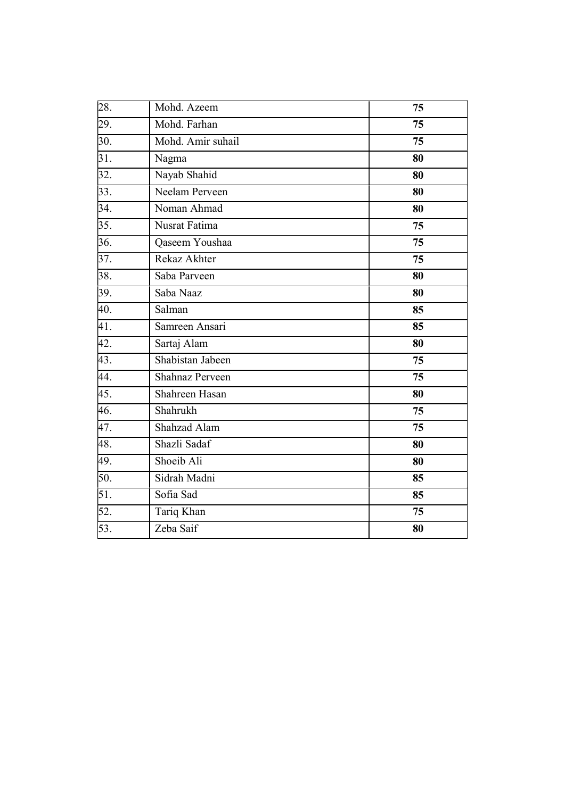| $\overline{2}8.$  | Mohd. Azeem       | 75 |
|-------------------|-------------------|----|
| 29.               | Mohd. Farhan      | 75 |
| 30.               | Mohd. Amir suhail | 75 |
| $\overline{31}$ . | Nagma             | 80 |
| 32.               | Nayab Shahid      | 80 |
| 33.               | Neelam Perveen    | 80 |
| 34.               | Noman Ahmad       | 80 |
| 35.               | Nusrat Fatima     | 75 |
| $\overline{36}$ . | Qaseem Youshaa    | 75 |
| 37.               | Rekaz Akhter      | 75 |
| 38.               | Saba Parveen      | 80 |
| 39.               | Saba Naaz         | 80 |
| 40.               | Salman            | 85 |
| 41.               | Samreen Ansari    | 85 |
| 42.               | Sartaj Alam       | 80 |
| 43.               | Shabistan Jabeen  | 75 |
| 44.               | Shahnaz Perveen   | 75 |
| 45.               | Shahreen Hasan    | 80 |
| 46.               | Shahrukh          | 75 |
| 47.               | Shahzad Alam      | 75 |
| 48.               | Shazli Sadaf      | 80 |
| 49.               | Shoeib Ali        | 80 |
| 50.               | Sidrah Madni      | 85 |
| 51.               | Sofia Sad         | 85 |
| 52.               | Tariq Khan        | 75 |
| 53.               | Zeba Saif         | 80 |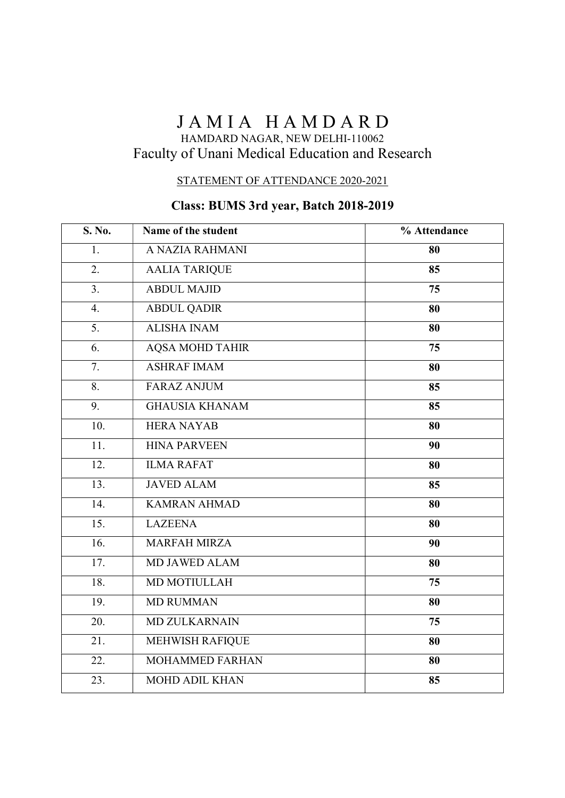# JAMIA HAMDARD

### HAMDARD NAGAR, NEW DELHI-110062 Faculty of Unani Medical Education and Research

#### STATEMENT OF ATTENDANCE 2020-2021

## Class: BUMS 3rd year, Batch 2018-2019

| S. No.            | Name of the student    | % Attendance |
|-------------------|------------------------|--------------|
| 1.                | A NAZIA RAHMANI        | 80           |
| 2.                | <b>AALIA TARIQUE</b>   | 85           |
| 3.                | <b>ABDUL MAJID</b>     | 75           |
| 4.                | <b>ABDUL QADIR</b>     | 80           |
| 5.                | <b>ALISHA INAM</b>     | 80           |
| 6.                | <b>AQSA MOHD TAHIR</b> | 75           |
| 7.                | <b>ASHRAF IMAM</b>     | 80           |
| $\overline{8}$ .  | <b>FARAZ ANJUM</b>     | 85           |
| 9.                | <b>GHAUSIA KHANAM</b>  | 85           |
| 10.               | <b>HERA NAYAB</b>      | 80           |
| 11.               | <b>HINA PARVEEN</b>    | 90           |
| 12.               | <b>ILMA RAFAT</b>      | 80           |
| $\overline{13}$ . | <b>JAVED ALAM</b>      | 85           |
| 14.               | <b>KAMRAN AHMAD</b>    | 80           |
| $\overline{15}$ . | <b>LAZEENA</b>         | 80           |
| 16.               | <b>MARFAH MIRZA</b>    | 90           |
| 17.               | <b>MD JAWED ALAM</b>   | 80           |
| 18.               | MD MOTIULLAH           | 75           |
| 19.               | <b>MD RUMMAN</b>       | 80           |
| $\overline{20}$ . | <b>MD ZULKARNAIN</b>   | 75           |
| 21.               | MEHWISH RAFIQUE        | 80           |
| $\overline{22}$ . | <b>MOHAMMED FARHAN</b> | 80           |
| 23.               | <b>MOHD ADIL KHAN</b>  | 85           |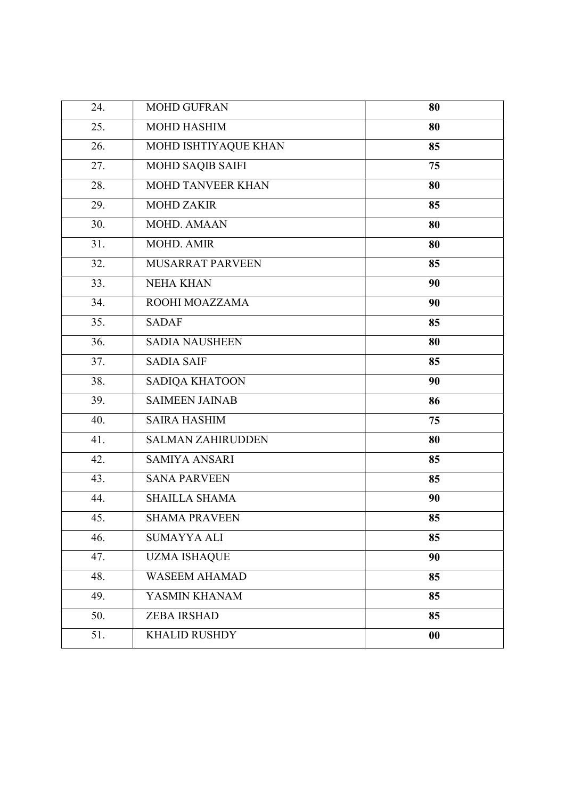| 24. | <b>MOHD GUFRAN</b>       | 80 |
|-----|--------------------------|----|
| 25. | <b>MOHD HASHIM</b>       | 80 |
| 26. | MOHD ISHTIYAQUE KHAN     | 85 |
| 27. | MOHD SAQIB SAIFI         | 75 |
| 28. | MOHD TANVEER KHAN        | 80 |
| 29. | <b>MOHD ZAKIR</b>        | 85 |
| 30. | <b>MOHD. AMAAN</b>       | 80 |
| 31. | MOHD. AMIR               | 80 |
| 32. | MUSARRAT PARVEEN         | 85 |
| 33. | <b>NEHA KHAN</b>         | 90 |
| 34. | ROOHI MOAZZAMA           | 90 |
| 35. | <b>SADAF</b>             | 85 |
| 36. | <b>SADIA NAUSHEEN</b>    | 80 |
| 37. | <b>SADIA SAIF</b>        | 85 |
| 38. | SADIQA KHATOON           | 90 |
| 39. | <b>SAIMEEN JAINAB</b>    | 86 |
| 40. | <b>SAIRA HASHIM</b>      | 75 |
| 41. | <b>SALMAN ZAHIRUDDEN</b> | 80 |
| 42. | <b>SAMIYA ANSARI</b>     | 85 |
| 43. | <b>SANA PARVEEN</b>      | 85 |
| 44. | <b>SHAILLA SHAMA</b>     | 90 |
| 45. | <b>SHAMA PRAVEEN</b>     | 85 |
| 46. | <b>SUMAYYA ALI</b>       | 85 |
| 47. | <b>UZMA ISHAQUE</b>      | 90 |
| 48. | <b>WASEEM AHAMAD</b>     | 85 |
| 49. | YASMIN KHANAM            | 85 |
| 50. | <b>ZEBA IRSHAD</b>       | 85 |
| 51. | <b>KHALID RUSHDY</b>     | 00 |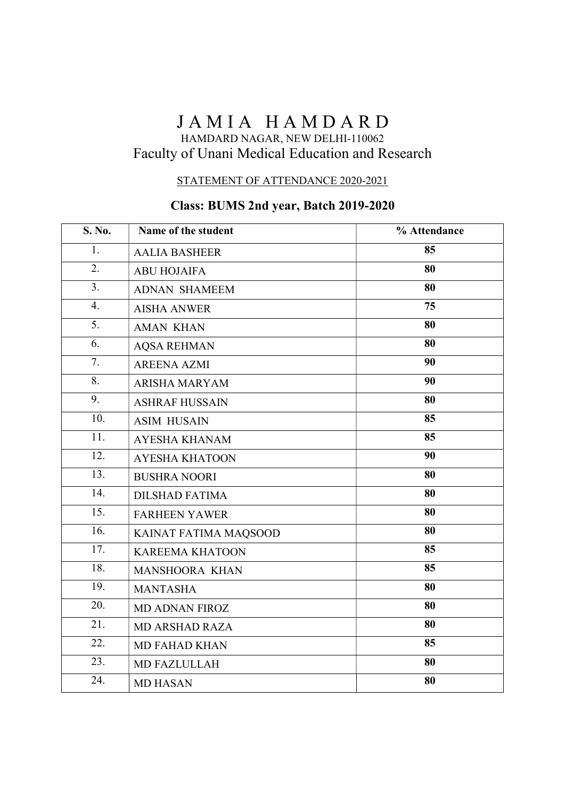# JAMIA HAMDARD

### HAMDARD NAGAR, NEW DELHI-110062 Faculty of Unani Medical Education and Research

#### STATEMENT OF ATTENDANCE 2020-2021

## Class: BUMS 2nd year, Batch 2019-2020

| S. No.           | Name of the student    | % Attendance |
|------------------|------------------------|--------------|
| 1.               | <b>AALIA BASHEER</b>   | 85           |
| 2.               | <b>ABU HOJAIFA</b>     | 80           |
| 3.               | <b>ADNAN SHAMEEM</b>   | 80           |
| 4.               | <b>AISHA ANWER</b>     | 75           |
| $\overline{5}$ . | <b>AMAN KHAN</b>       | 80           |
| 6.               | <b>AQSA REHMAN</b>     | 80           |
| 7.               | <b>AREENA AZMI</b>     | 90           |
| 8.               | <b>ARISHA MARYAM</b>   | 90           |
| 9.               | <b>ASHRAF HUSSAIN</b>  | 80           |
| 10.              | <b>ASIM HUSAIN</b>     | 85           |
| 11.              | <b>AYESHA KHANAM</b>   | 85           |
| 12.              | <b>AYESHA KHATOON</b>  | 90           |
| 13.              | <b>BUSHRA NOORI</b>    | 80           |
| 14.              | <b>DILSHAD FATIMA</b>  | 80           |
| 15.              | <b>FARHEEN YAWER</b>   | 80           |
| 16.              | KAINAT FATIMA MAQSOOD  | 80           |
| 17.              | <b>KAREEMA KHATOON</b> | 85           |
| 18.              | MANSHOORA KHAN         | 85           |
| 19.              | <b>MANTASHA</b>        | 80           |
| 20.              | <b>MD ADNAN FIROZ</b>  | 80           |
| 21.              | <b>MD ARSHAD RAZA</b>  | 80           |
| 22.              | <b>MD FAHAD KHAN</b>   | 85           |
| 23.              | MD FAZLULLAH           | 80           |
| 24.              | <b>MD HASAN</b>        | 80           |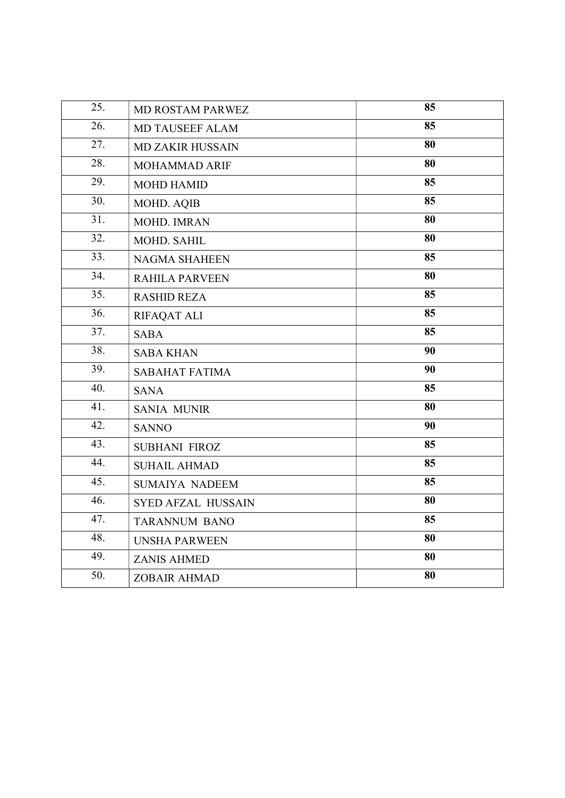| 25.               | MD ROSTAM PARWEZ          | 85 |
|-------------------|---------------------------|----|
| 26.               | MD TAUSEEF ALAM           | 85 |
| 27.               | <b>MD ZAKIR HUSSAIN</b>   | 80 |
| 28.               | MOHAMMAD ARIF             | 80 |
| 29.               | <b>MOHD HAMID</b>         | 85 |
| 30.               | MOHD. AQIB                | 85 |
| 31.               | MOHD. IMRAN               | 80 |
| 32.               | MOHD. SAHIL               | 80 |
| $\overline{33}$ . | <b>NAGMA SHAHEEN</b>      | 85 |
| 34.               | <b>RAHILA PARVEEN</b>     | 80 |
| 35.               | <b>RASHID REZA</b>        | 85 |
| $\overline{36}$ . | <b>RIFAQAT ALI</b>        | 85 |
| $\overline{37}$ . | <b>SABA</b>               | 85 |
| 38.               | <b>SABA KHAN</b>          | 90 |
| 39.               | <b>SABAHAT FATIMA</b>     | 90 |
| 40.               | <b>SANA</b>               | 85 |
| 41.               | <b>SANIA MUNIR</b>        | 80 |
| 42.               | <b>SANNO</b>              | 90 |
| 43.               | SUBHANI FIROZ             | 85 |
| 44.               | <b>SUHAIL AHMAD</b>       | 85 |
| 45.               | <b>SUMAIYA NADEEM</b>     | 85 |
| 46.               | <b>SYED AFZAL HUSSAIN</b> | 80 |
| 47.               | <b>TARANNUM BANO</b>      | 85 |
| 48.               | <b>UNSHA PARWEEN</b>      | 80 |
| 49.               | <b>ZANIS AHMED</b>        | 80 |
| 50.               | <b>ZOBAIR AHMAD</b>       | 80 |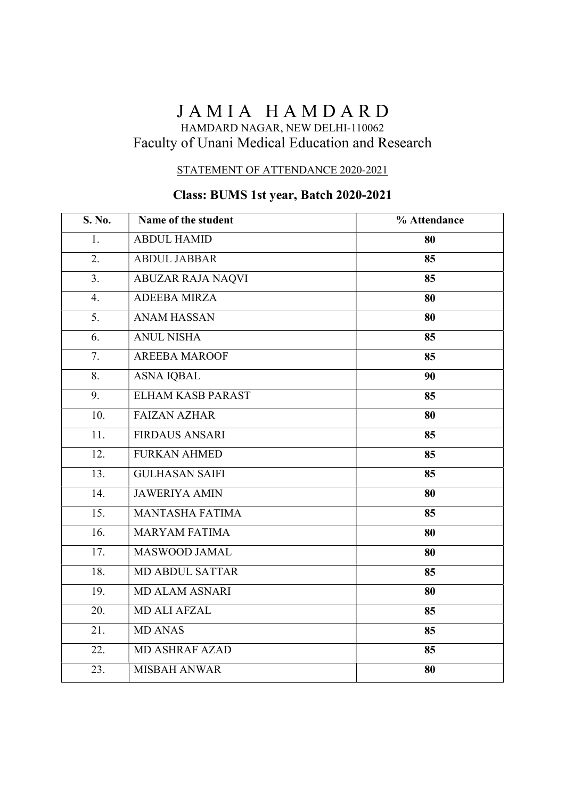# JAMIA HAMDARD

### HAMDARD NAGAR, NEW DELHI-110062 Faculty of Unani Medical Education and Research

#### STATEMENT OF ATTENDANCE 2020-2021

## Class: BUMS 1st year, Batch 2020-2021

| S. No.            | Name of the student      | % Attendance |
|-------------------|--------------------------|--------------|
| 1.                | <b>ABDUL HAMID</b>       | 80           |
| 2.                | <b>ABDUL JABBAR</b>      | 85           |
| 3.                | <b>ABUZAR RAJA NAQVI</b> | 85           |
| 4.                | <b>ADEEBA MIRZA</b>      | 80           |
| 5.                | <b>ANAM HASSAN</b>       | 80           |
| 6.                | <b>ANUL NISHA</b>        | 85           |
| 7.                | <b>AREEBA MAROOF</b>     | 85           |
| 8.                | <b>ASNA IQBAL</b>        | 90           |
| 9.                | <b>ELHAM KASB PARAST</b> | 85           |
| 10.               | <b>FAIZAN AZHAR</b>      | 80           |
| 11.               | <b>FIRDAUS ANSARI</b>    | 85           |
| 12.               | <b>FURKAN AHMED</b>      | 85           |
| 13.               | <b>GULHASAN SAIFI</b>    | 85           |
| 14.               | <b>JAWERIYA AMIN</b>     | 80           |
| $\overline{15}$ . | <b>MANTASHA FATIMA</b>   | 85           |
| 16.               | <b>MARYAM FATIMA</b>     | 80           |
| 17.               | MASWOOD JAMAL            | 80           |
| 18.               | <b>MD ABDUL SATTAR</b>   | 85           |
| 19.               | <b>MD ALAM ASNARI</b>    | 80           |
| 20.               | <b>MD ALI AFZAL</b>      | 85           |
| 21.               | <b>MD ANAS</b>           | 85           |
| 22.               | <b>MD ASHRAF AZAD</b>    | 85           |
| 23.               | <b>MISBAH ANWAR</b>      | 80           |